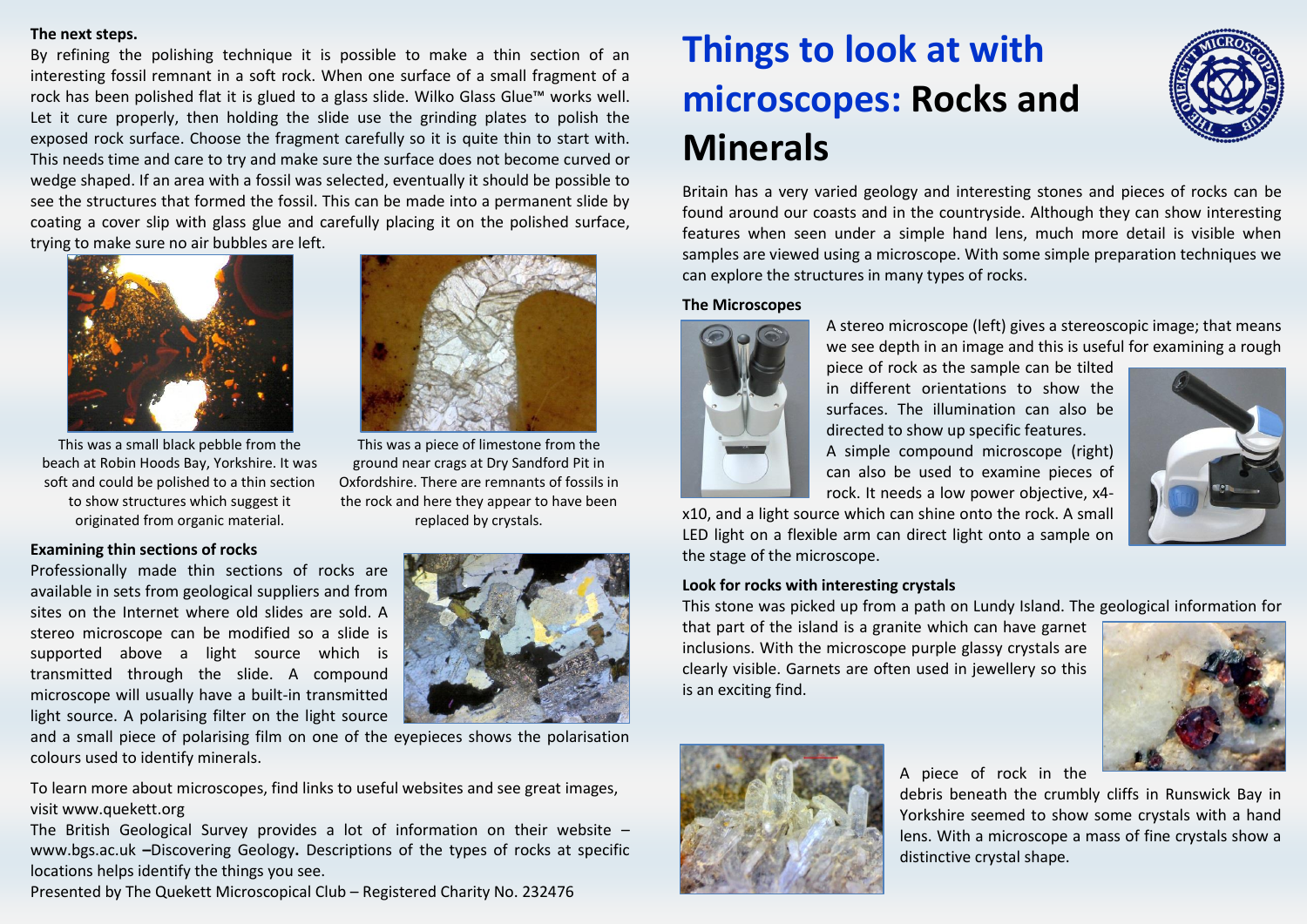## **The next steps.**

By refining the polishing technique it is possible to make a thin section of an interesting fossil remnant in a soft rock. When one surface of a small fragment of a rock has been polished flat it is glued to a glass slide. Wilko Glass Glue™ works well. Let it cure properly, then holding the slide use the grinding plates to polish the exposed rock surface. Choose the fragment carefully so it is quite thin to start with. This needs time and care to try and make sure the surface does not become curved or wedge shaped. If an area with a fossil was selected, eventually it should be possible to see the structures that formed the fossil. This can be made into a permanent slide by coating a cover slip with glass glue and carefully placing it on the polished surface, trying to make sure no air bubbles are left.



This was a small black pebble from the beach at Robin Hoods Bay, Yorkshire. It was soft and could be polished to a thin section to show structures which suggest it originated from organic material.

## **Examining thin sections of rocks**

Professionally made thin sections of rocks are available in sets from geological suppliers and from sites on the Internet where old slides are sold. A stereo microscope can be modified so a slide is supported above a light source which is transmitted through the slide. A compound microscope will usually have a built-in transmitted light source. A polarising filter on the light source



This was a piece of limestone from the ground near crags at Dry Sandford Pit in Oxfordshire. There are remnants of fossils in the rock and here they appear to have been replaced by crystals.



and a small piece of polarising film on one of the eyepieces shows the polarisation colours used to identify minerals.

To learn more about microscopes, find links to useful websites and see great images, visit www.quekett.org

The British Geological Survey provides a lot of information on their website – www.bgs.ac.uk **–**Discovering Geology**.** Descriptions of the types of rocks at specific locations helps identify the things you see.

Presented by The Quekett Microscopical Club – Registered Charity No. 232476

# **Things to look at with microscopes: Rocks and Minerals**



Britain has a very varied geology and interesting stones and pieces of rocks can be found around our coasts and in the countryside. Although they can show interesting features when seen under a simple hand lens, much more detail is visible when samples are viewed using a microscope. With some simple preparation techniques we can explore the structures in many types of rocks.

### **The Microscopes**



A stereo microscope (left) gives a stereoscopic image; that means we see depth in an image and this is useful for examining a rough

piece of rock as the sample can be tilted in different orientations to show the surfaces. The illumination can also be directed to show up specific features. A simple compound microscope (right) can also be used to examine pieces of rock. It needs a low power objective, x4-



x10, and a light source which can shine onto the rock. A small LED light on a flexible arm can direct light onto a sample on the stage of the microscope.

### **Look for rocks with interesting crystals**

This stone was picked up from a path on Lundy Island. The geological information for

that part of the island is a granite which can have garnet inclusions. With the microscope purple glassy crystals are clearly visible. Garnets are often used in jewellery so this is an exciting find.





A piece of rock in the

debris beneath the crumbly cliffs in Runswick Bay in Yorkshire seemed to show some crystals with a hand lens. With a microscope a mass of fine crystals show a distinctive crystal shape.